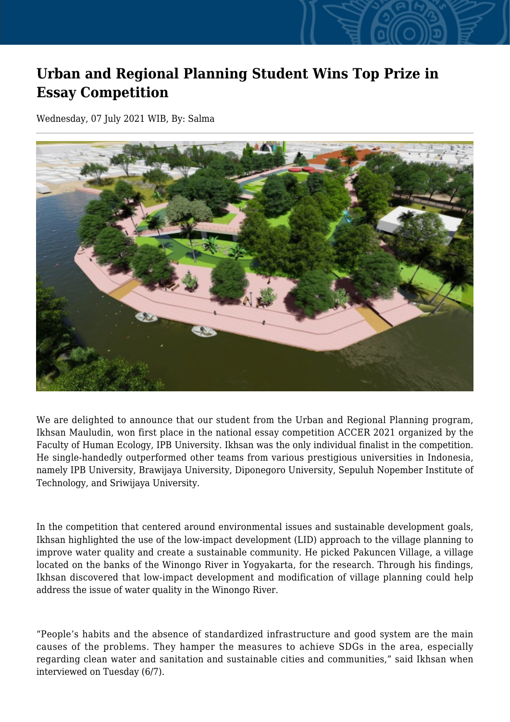## **Urban and Regional Planning Student Wins Top Prize in Essay Competition**

Wednesday, 07 July 2021 WIB, By: Salma



We are delighted to announce that our student from the Urban and Regional Planning program, Ikhsan Mauludin, won first place in the national essay competition ACCER 2021 organized by the Faculty of Human Ecology, IPB University. Ikhsan was the only individual finalist in the competition. He single-handedly outperformed other teams from various prestigious universities in Indonesia, namely IPB University, Brawijaya University, Diponegoro University, Sepuluh Nopember Institute of Technology, and Sriwijaya University.

In the competition that centered around environmental issues and sustainable development goals, Ikhsan highlighted the use of the low-impact development (LID) approach to the village planning to improve water quality and create a sustainable community. He picked Pakuncen Village, a village located on the banks of the Winongo River in Yogyakarta, for the research. Through his findings, Ikhsan discovered that low-impact development and modification of village planning could help address the issue of water quality in the Winongo River.

"People's habits and the absence of standardized infrastructure and good system are the main causes of the problems. They hamper the measures to achieve SDGs in the area, especially regarding clean water and sanitation and sustainable cities and communities," said Ikhsan when interviewed on Tuesday (6/7).